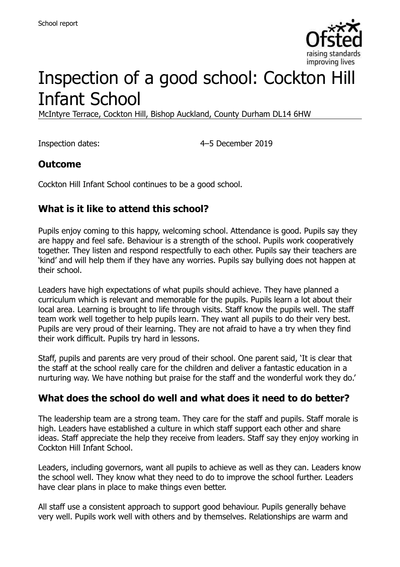

# Inspection of a good school: Cockton Hill Infant School

McIntyre Terrace, Cockton Hill, Bishop Auckland, County Durham DL14 6HW

Inspection dates: 4–5 December 2019

### **Outcome**

Cockton Hill Infant School continues to be a good school.

## **What is it like to attend this school?**

Pupils enjoy coming to this happy, welcoming school. Attendance is good. Pupils say they are happy and feel safe. Behaviour is a strength of the school. Pupils work cooperatively together. They listen and respond respectfully to each other. Pupils say their teachers are 'kind' and will help them if they have any worries. Pupils say bullying does not happen at their school.

Leaders have high expectations of what pupils should achieve. They have planned a curriculum which is relevant and memorable for the pupils. Pupils learn a lot about their local area. Learning is brought to life through visits. Staff know the pupils well. The staff team work well together to help pupils learn. They want all pupils to do their very best. Pupils are very proud of their learning. They are not afraid to have a try when they find their work difficult. Pupils try hard in lessons.

Staff, pupils and parents are very proud of their school. One parent said, 'It is clear that the staff at the school really care for the children and deliver a fantastic education in a nurturing way. We have nothing but praise for the staff and the wonderful work they do.'

### **What does the school do well and what does it need to do better?**

The leadership team are a strong team. They care for the staff and pupils. Staff morale is high. Leaders have established a culture in which staff support each other and share ideas. Staff appreciate the help they receive from leaders. Staff say they enjoy working in Cockton Hill Infant School.

Leaders, including governors, want all pupils to achieve as well as they can. Leaders know the school well. They know what they need to do to improve the school further. Leaders have clear plans in place to make things even better.

All staff use a consistent approach to support good behaviour. Pupils generally behave very well. Pupils work well with others and by themselves. Relationships are warm and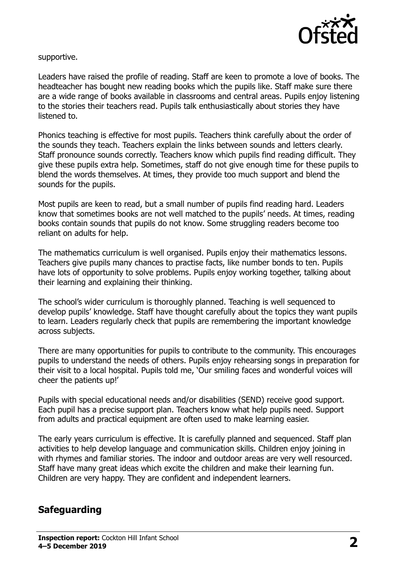

supportive.

Leaders have raised the profile of reading. Staff are keen to promote a love of books. The headteacher has bought new reading books which the pupils like. Staff make sure there are a wide range of books available in classrooms and central areas. Pupils enjoy listening to the stories their teachers read. Pupils talk enthusiastically about stories they have listened to.

Phonics teaching is effective for most pupils. Teachers think carefully about the order of the sounds they teach. Teachers explain the links between sounds and letters clearly. Staff pronounce sounds correctly. Teachers know which pupils find reading difficult. They give these pupils extra help. Sometimes, staff do not give enough time for these pupils to blend the words themselves. At times, they provide too much support and blend the sounds for the pupils.

Most pupils are keen to read, but a small number of pupils find reading hard. Leaders know that sometimes books are not well matched to the pupils' needs. At times, reading books contain sounds that pupils do not know. Some struggling readers become too reliant on adults for help.

The mathematics curriculum is well organised. Pupils enjoy their mathematics lessons. Teachers give pupils many chances to practise facts, like number bonds to ten. Pupils have lots of opportunity to solve problems. Pupils enjoy working together, talking about their learning and explaining their thinking.

The school's wider curriculum is thoroughly planned. Teaching is well sequenced to develop pupils' knowledge. Staff have thought carefully about the topics they want pupils to learn. Leaders regularly check that pupils are remembering the important knowledge across subjects.

There are many opportunities for pupils to contribute to the community. This encourages pupils to understand the needs of others. Pupils enjoy rehearsing songs in preparation for their visit to a local hospital. Pupils told me, 'Our smiling faces and wonderful voices will cheer the patients up!'

Pupils with special educational needs and/or disabilities (SEND) receive good support. Each pupil has a precise support plan. Teachers know what help pupils need. Support from adults and practical equipment are often used to make learning easier.

The early years curriculum is effective. It is carefully planned and sequenced. Staff plan activities to help develop language and communication skills. Children enjoy joining in with rhymes and familiar stories. The indoor and outdoor areas are very well resourced. Staff have many great ideas which excite the children and make their learning fun. Children are very happy. They are confident and independent learners.

## **Safeguarding**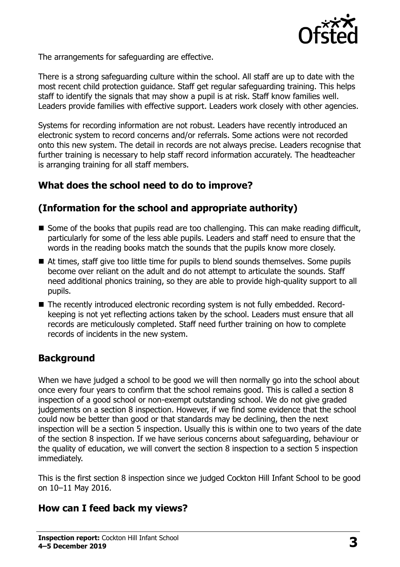

The arrangements for safeguarding are effective.

There is a strong safeguarding culture within the school. All staff are up to date with the most recent child protection guidance. Staff get regular safeguarding training. This helps staff to identify the signals that may show a pupil is at risk. Staff know families well. Leaders provide families with effective support. Leaders work closely with other agencies.

Systems for recording information are not robust. Leaders have recently introduced an electronic system to record concerns and/or referrals. Some actions were not recorded onto this new system. The detail in records are not always precise. Leaders recognise that further training is necessary to help staff record information accurately. The headteacher is arranging training for all staff members.

## **What does the school need to do to improve?**

## **(Information for the school and appropriate authority)**

- Some of the books that pupils read are too challenging. This can make reading difficult, particularly for some of the less able pupils. Leaders and staff need to ensure that the words in the reading books match the sounds that the pupils know more closely.
- At times, staff give too little time for pupils to blend sounds themselves. Some pupils become over reliant on the adult and do not attempt to articulate the sounds. Staff need additional phonics training, so they are able to provide high-quality support to all pupils.
- The recently introduced electronic recording system is not fully embedded. Recordkeeping is not yet reflecting actions taken by the school. Leaders must ensure that all records are meticulously completed. Staff need further training on how to complete records of incidents in the new system.

## **Background**

When we have judged a school to be good we will then normally go into the school about once every four years to confirm that the school remains good. This is called a section 8 inspection of a good school or non-exempt outstanding school. We do not give graded judgements on a section 8 inspection. However, if we find some evidence that the school could now be better than good or that standards may be declining, then the next inspection will be a section 5 inspection. Usually this is within one to two years of the date of the section 8 inspection. If we have serious concerns about safeguarding, behaviour or the quality of education, we will convert the section 8 inspection to a section 5 inspection immediately.

This is the first section 8 inspection since we judged Cockton Hill Infant School to be good on 10–11 May 2016.

### **How can I feed back my views?**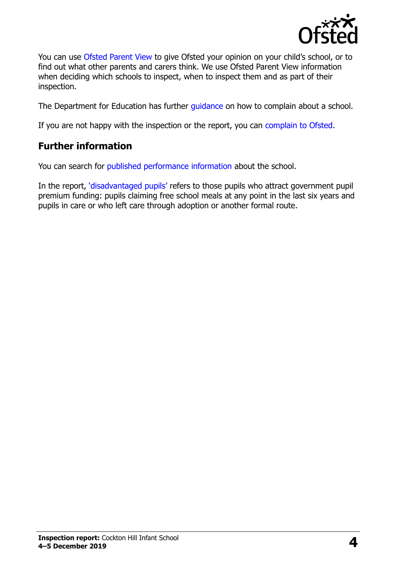

You can use [Ofsted Parent View](https://parentview.ofsted.gov.uk/) to give Ofsted your opinion on your child's school, or to find out what other parents and carers think. We use Ofsted Parent View information when deciding which schools to inspect, when to inspect them and as part of their inspection.

The Department for Education has further [guidance](http://www.gov.uk/complain-about-school) on how to complain about a school.

If you are not happy with the inspection or the report, you can [complain to Ofsted.](https://www.gov.uk/complain-ofsted-report)

## **Further information**

You can search for [published performance information](http://www.compare-school-performance.service.gov.uk/) about the school.

In the report, '[disadvantaged pupils](http://www.gov.uk/guidance/pupil-premium-information-for-schools-and-alternative-provision-settings)' refers to those pupils who attract government pupil premium funding: pupils claiming free school meals at any point in the last six years and pupils in care or who left care through adoption or another formal route.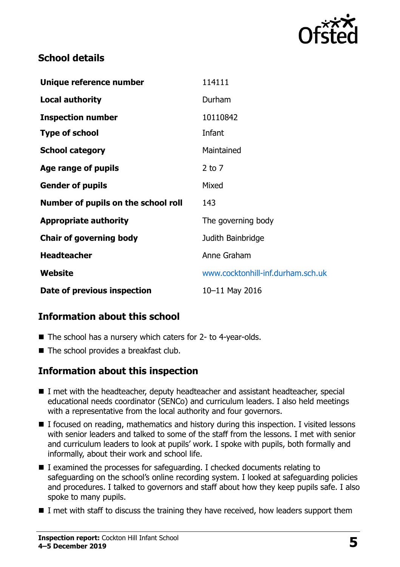

## **School details**

| Unique reference number             | 114111                            |
|-------------------------------------|-----------------------------------|
| <b>Local authority</b>              | Durham                            |
| <b>Inspection number</b>            | 10110842                          |
| <b>Type of school</b>               | Infant                            |
| <b>School category</b>              | Maintained                        |
| Age range of pupils                 | $2$ to $7$                        |
| <b>Gender of pupils</b>             | Mixed                             |
| Number of pupils on the school roll | 143                               |
| <b>Appropriate authority</b>        | The governing body                |
| <b>Chair of governing body</b>      | Judith Bainbridge                 |
| <b>Headteacher</b>                  | Anne Graham                       |
| Website                             | www.cocktonhill-inf.durham.sch.uk |
| Date of previous inspection         | 10-11 May 2016                    |

## **Information about this school**

- The school has a nursery which caters for 2- to 4-year-olds.
- The school provides a breakfast club.

### **Information about this inspection**

- I met with the headteacher, deputy headteacher and assistant headteacher, special educational needs coordinator (SENCo) and curriculum leaders. I also held meetings with a representative from the local authority and four governors.
- I focused on reading, mathematics and history during this inspection. I visited lessons with senior leaders and talked to some of the staff from the lessons. I met with senior and curriculum leaders to look at pupils' work. I spoke with pupils, both formally and informally, about their work and school life.
- I examined the processes for safeguarding. I checked documents relating to safeguarding on the school's online recording system. I looked at safeguarding policies and procedures. I talked to governors and staff about how they keep pupils safe. I also spoke to many pupils.
- $\blacksquare$  I met with staff to discuss the training they have received, how leaders support them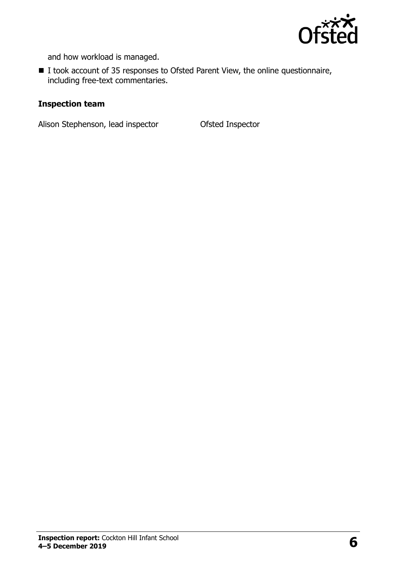

and how workload is managed.

■ I took account of 35 responses to Ofsted Parent View, the online questionnaire, including free-text commentaries.

#### **Inspection team**

Alison Stephenson, lead inspector **Ofsted Inspector**